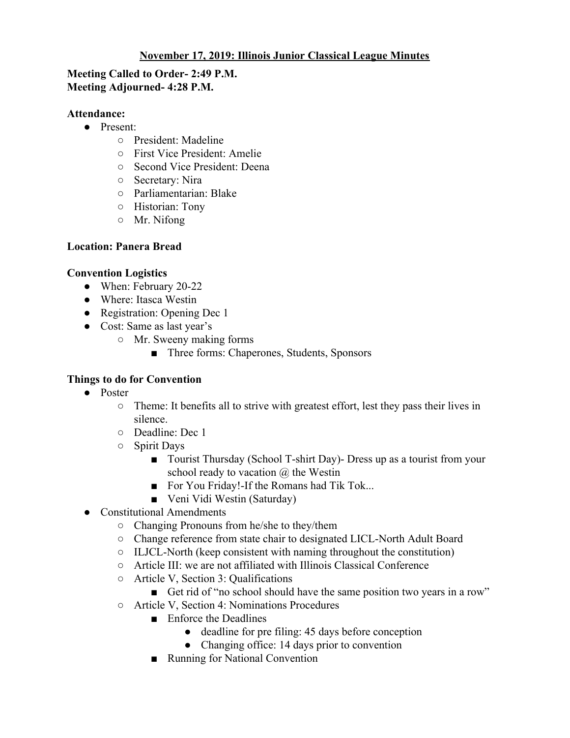# **November 17, 2019: Illinois Junior Classical League Minutes**

## **Meeting Called to Order- 2:49 P.M. Meeting Adjourned- 4:28 P.M.**

#### **Attendance:**

- Present:
	- President: Madeline
	- First Vice President: Amelie
	- Second Vice President: Deena
	- Secretary: Nira
	- Parliamentarian: Blake
	- Historian: Tony
	- Mr. Nifong

### **Location: Panera Bread**

### **Convention Logistics**

- When: February 20-22
- Where: Itasca Westin
- Registration: Opening Dec 1
- Cost: Same as last year's
	- Mr. Sweeny making forms
		- Three forms: Chaperones, Students, Sponsors

### **Things to do for Convention**

- Poster
	- $\circ$  Theme: It benefits all to strive with greatest effort, lest they pass their lives in silence.
	- Deadline: Dec 1
	- Spirit Days
		- Tourist Thursday (School T-shirt Day) Dress up as a tourist from your school ready to vacation  $\omega$  the Westin
		- For You Friday!-If the Romans had Tik Tok...
		- Veni Vidi Westin (Saturday)
- Constitutional Amendments
	- Changing Pronouns from he/she to they/them
	- Change reference from state chair to designated LICL-North Adult Board
	- ILJCL-North (keep consistent with naming throughout the constitution)
	- Article III: we are not affiliated with Illinois Classical Conference
	- Article V, Section 3: Qualifications
		- Get rid of "no school should have the same position two years in a row"
	- Article V, Section 4: Nominations Procedures
		- Enforce the Deadlines
			- deadline for pre filing: 45 days before conception
			- Changing office: 14 days prior to convention
		- Running for National Convention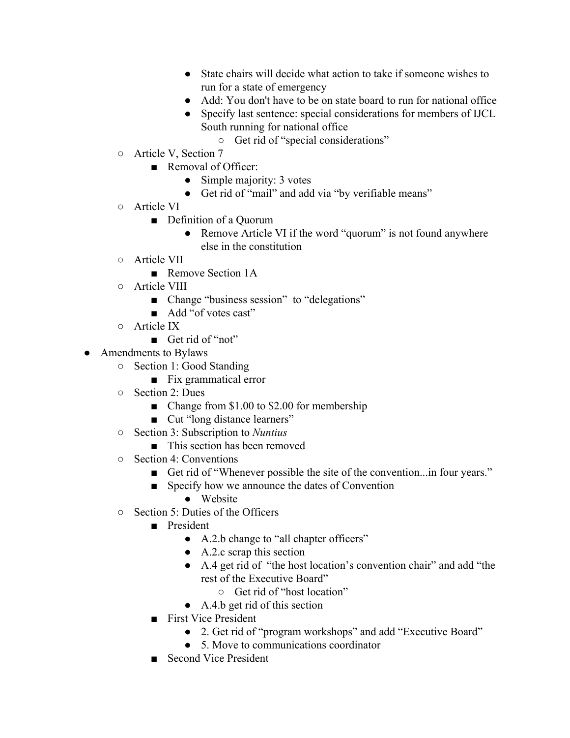- State chairs will decide what action to take if someone wishes to run for a state of emergency
- Add: You don't have to be on state board to run for national office
- Specify last sentence: special considerations for members of IJCL South running for national office
	- Get rid of "special considerations"
- Article V, Section 7
	- Removal of Officer:
		- Simple majority: 3 votes
		- Get rid of "mail" and add via "by verifiable means"
- Article VI
	- Definition of a Quorum
		- Remove Article VI if the word "quorum" is not found anywhere else in the constitution
- Article VII
	- Remove Section 1A
- Article VIII
	- Change "business session" to "delegations"
	- Add "of votes cast"
- Article IX
	- Get rid of "not"
- Amendments to Bylaws
	- Section 1: Good Standing
		- Fix grammatical error
	- Section 2: Dues
		- Change from \$1.00 to \$2.00 for membership
		- Cut "long distance learners"
	- Section 3: Subscription to *Nuntius*
		- This section has been removed
	- Section 4: Conventions
		- Get rid of "Whenever possible the site of the convention...in four years."
		- Specify how we announce the dates of Convention
			- Website
	- Section 5: Duties of the Officers
		- President
			- A.2.b change to "all chapter officers"
			- $\bullet$  A.2.c scrap this section
			- A.4 get rid of "the host location's convention chair" and add "the rest of the Executive Board"
				- Get rid of "host location"
			- A.4.b get rid of this section
		- First Vice President
			- 2. Get rid of "program workshops" and add "Executive Board"
			- 5. Move to communications coordinator
		- Second Vice President